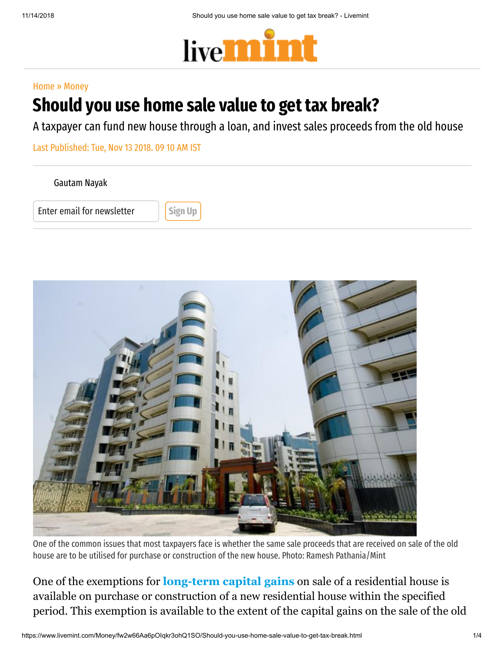

#### [Home](https://www.livemint.com/) » [Money](https://www.livemint.com/money)

# Should you use home sale value to get tax break?

A taxpayer can fund new house through a loan, and invest sales proceeds from the old house

Last Published: Tue, Nov 13 2018. 09 10 AM IST

[Gautam](https://www.livemint.com/Search/Link/Author/Gautam%20Nayak) Nayak

Enter email for newsletter **Sign Up** 



One of the common issues that most taxpayers face is whether the same sale proceeds that are received on sale of the old house are to be utilised for purchase or construction of the new house. Photo: Ramesh Pathania/Mint

One of the exemptions for **[long-term capital gains](https://www.livemint.com/Money/UbW422ierzMwQngA6erCuL/LTCG-exemption-on-building-new-house-tricky.html)** on sale of a residential house is available on purchase or construction of a new residential house within the specified period. This exemption is available to the extent of the capital gains on the sale of the old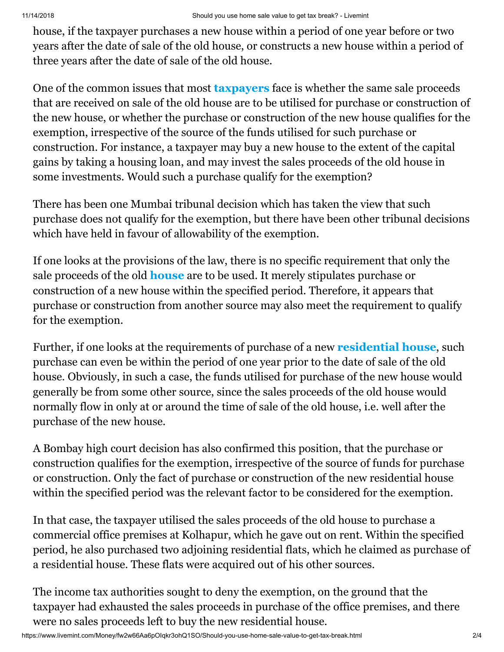house, if the taxpayer purchases a new house within a period of one year before or two years after the date of sale of the old house, or constructs a new house within a period of three years after the date of sale of the old house.

One of the common issues that most **[taxpayers](https://www.livemint.com/Money/8Ur33qIOmvc3XgPkhCpveN/Investments-for-saving-LTCG-tax-cannot-be-in-multiple-houses.html)** face is whether the same sale proceeds that are received on sale of the old house are to be utilised for purchase or construction of the new house, or whether the purchase or construction of the new house qualifies for the exemption, irrespective of the source of the funds utilised for such purchase or construction. For instance, a taxpayer may buy a new house to the extent of the capital gains by taking a housing loan, and may invest the sales proceeds of the old house in some investments. Would such a purchase qualify for the exemption?

There has been one Mumbai tribunal decision which has taken the view that such purchase does not qualify for the exemption, but there have been other tribunal decisions which have held in favour of allowability of the exemption.

If one looks at the provisions of the law, there is no specific requirement that only the sale proceeds of the old **[house](https://www.livemint.com/Money/PjAw7xRNlsz8Vo55ze2hTP/No-bar-on-claiming-tax-deduction-for-home-loans-of-multiple.html)** are to be used. It merely stipulates purchase or construction of a new house within the specified period. Therefore, it appears that purchase or construction from another source may also meet the requirement to qualify for the exemption.

Further, if one looks at the requirements of purchase of a new **[residential house](https://www.livemint.com/Money/ueJVVk3rf75aU9JcJBLfLO/LTCG-computation-same-for-residential-house-plot.html)**, such purchase can even be within the period of one year prior to the date of sale of the old house. Obviously, in such a case, the funds utilised for purchase of the new house would generally be from some other source, since the sales proceeds of the old house would normally flow in only at or around the time of sale of the old house, i.e. well after the purchase of the new house.

A Bombay high court decision has also confirmed this position, that the purchase or construction qualifies for the exemption, irrespective of the source of funds for purchase or construction. Only the fact of purchase or construction of the new residential house within the specified period was the relevant factor to be considered for the exemption.

In that case, the taxpayer utilised the sales proceeds of the old house to purchase a commercial office premises at Kolhapur, which he gave out on rent. Within the specified period, he also purchased two adjoining residential flats, which he claimed as purchase of a residential house. These flats were acquired out of his other sources.

The income tax authorities sought to deny the exemption, on the ground that the taxpayer had exhausted the sales proceeds in purchase of the office premises, and there were no sales proceeds left to buy the new residential house.